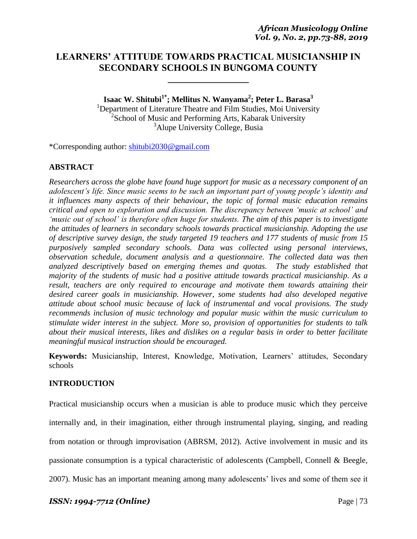# **LEARNERS' ATTITUDE TOWARDS PRACTICAL MUSICIANSHIP IN SECONDARY SCHOOLS IN BUNGOMA COUNTY**

**\_\_\_\_\_\_\_\_\_\_\_\_\_\_\_\_\_**

**Isaac W. Shitubi1\*; Mellitus N. Wanyama<sup>2</sup> ; Peter L. Barasa<sup>3</sup>** <sup>1</sup>Department of Literature Theatre and Film Studies, Moi University <sup>2</sup>School of Music and Performing Arts, Kabarak University <sup>3</sup>Alupe University College, Busia

\*Corresponding author: [shitubi2030@gmail.com](mailto:shitubi2030@gmail.com)

### **ABSTRACT**

*Researchers across the globe have found huge support for music as a necessary component of an adolescent's life. Since music seems to be such an important part of young people's identity and it influences many aspects of their behaviour, the topic of formal music education remains critical and open to exploration and discussion. The discrepancy between 'music at school' and 'music out of school' is therefore often huge for students. The aim of this paper is to investigate the attitudes of learners in secondary schools towards practical musicianship. Adopting the use of descriptive survey design, the study targeted 19 teachers and 177 students of music from 15 purposively sampled secondary schools. Data was collected using personal interviews, observation schedule, document analysis and a questionnaire. The collected data was then analyzed descriptively based on emerging themes and quotas. The study established that majority of the students of music had a positive attitude towards practical musicianship. As a result, teachers are only required to encourage and motivate them towards attaining their desired career goals in musicianship. However, some students had also developed negative attitude about school music because of lack of instrumental and vocal provisions. The study recommends inclusion of music technology and popular music within the music curriculum to stimulate wider interest in the subject. More so, provision of opportunities for students to talk about their musical interests, likes and dislikes on a regular basis in order to better facilitate meaningful musical instruction should be encouraged.* 

**Keywords:** Musicianship, Interest, Knowledge, Motivation, Learners' attitudes, Secondary schools

### **INTRODUCTION**

Practical musicianship occurs when a musician is able to produce music which they perceive internally and, in their imagination, either through instrumental playing, singing, and reading from notation or through improvisation (ABRSM, 2012). Active involvement in music and its passionate consumption is a typical characteristic of adolescents (Campbell, Connell & Beegle, 2007). Music has an important meaning among many adolescents" lives and some of them see it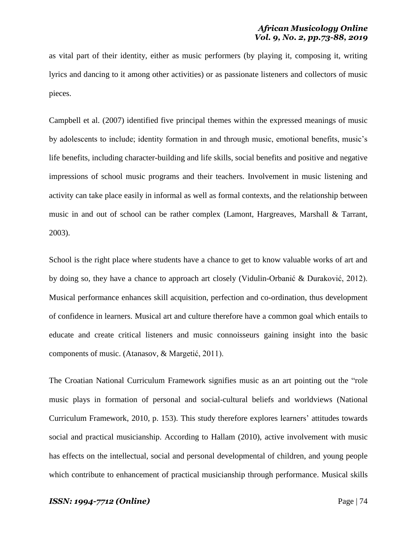as vital part of their identity, either as music performers (by playing it, composing it, writing lyrics and dancing to it among other activities) or as passionate listeners and collectors of music pieces.

Campbell et al. (2007) identified five principal themes within the expressed meanings of music by adolescents to include; identity formation in and through music, emotional benefits, music"s life benefits, including character-building and life skills, social benefits and positive and negative impressions of school music programs and their teachers. Involvement in music listening and activity can take place easily in informal as well as formal contexts, and the relationship between music in and out of school can be rather complex (Lamont, Hargreaves, Marshall & Tarrant, 2003).

School is the right place where students have a chance to get to know valuable works of art and by doing so, they have a chance to approach art closely (Vidulin-Orbanić & Duraković, 2012). Musical performance enhances skill acquisition, perfection and co-ordination, thus development of confidence in learners. Musical art and culture therefore have a common goal which entails to educate and create critical listeners and music connoisseurs gaining insight into the basic components of music. (Atanasov, & Margetić, 2011).

The Croatian National Curriculum Framework signifies music as an art pointing out the "role music plays in formation of personal and social-cultural beliefs and worldviews (National Curriculum Framework, 2010, p. 153). This study therefore explores learners" attitudes towards social and practical musicianship. According to Hallam (2010), active involvement with music has effects on the intellectual, social and personal developmental of children, and young people which contribute to enhancement of practical musicianship through performance. Musical skills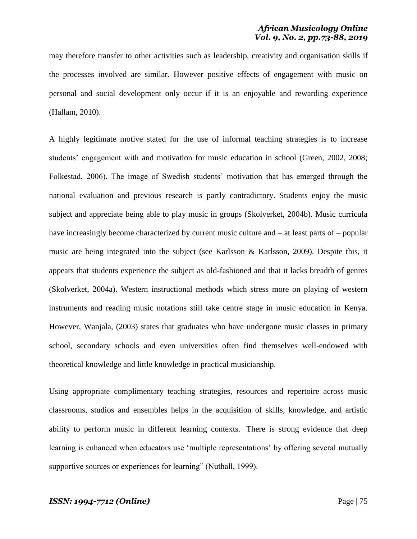may therefore transfer to other activities such as leadership, creativity and organisation skills if the processes involved are similar. However positive effects of engagement with music on personal and social development only occur if it is an enjoyable and rewarding experience (Hallam, 2010).

A highly legitimate motive stated for the use of informal teaching strategies is to increase students' engagement with and motivation for music education in school (Green, 2002, 2008; Folkestad, 2006). The image of Swedish students' motivation that has emerged through the national evaluation and previous research is partly contradictory. Students enjoy the music subject and appreciate being able to play music in groups (Skolverket, 2004b). Music curricula have increasingly become characterized by current music culture and – at least parts of – popular music are being integrated into the subject (see Karlsson & Karlsson, 2009). Despite this, it appears that students experience the subject as old-fashioned and that it lacks breadth of genres (Skolverket, 2004a). Western instructional methods which stress more on playing of western instruments and reading music notations still take centre stage in music education in Kenya. However, Wanjala, (2003) states that graduates who have undergone music classes in primary school, secondary schools and even universities often find themselves well-endowed with theoretical knowledge and little knowledge in practical musicianship.

Using appropriate complimentary teaching strategies, resources and repertoire across music classrooms, studios and ensembles helps in the acquisition of skills, knowledge, and artistic ability to perform music in different learning contexts. There is strong evidence that deep learning is enhanced when educators use 'multiple representations' by offering several mutually supportive sources or experiences for learning" (Nuthall, 1999).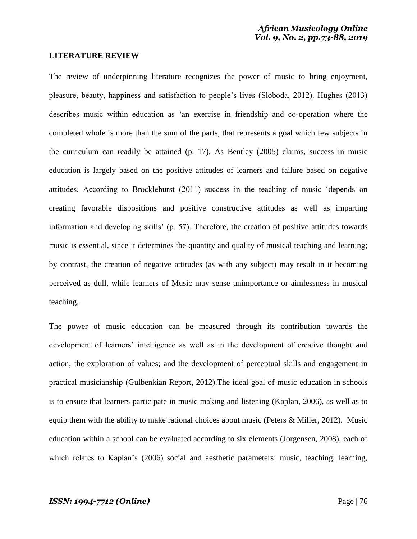### **LITERATURE REVIEW**

The review of underpinning literature recognizes the power of music to bring enjoyment, pleasure, beauty, happiness and satisfaction to people"s lives (Sloboda, 2012). Hughes (2013) describes music within education as "an exercise in friendship and co-operation where the completed whole is more than the sum of the parts, that represents a goal which few subjects in the curriculum can readily be attained (p. 17). As Bentley (2005) claims, success in music education is largely based on the positive attitudes of learners and failure based on negative attitudes. According to Brocklehurst (2011) success in the teaching of music "depends on creating favorable dispositions and positive constructive attitudes as well as imparting information and developing skills" (p. 57). Therefore, the creation of positive attitudes towards music is essential, since it determines the quantity and quality of musical teaching and learning; by contrast, the creation of negative attitudes (as with any subject) may result in it becoming perceived as dull, while learners of Music may sense unimportance or aimlessness in musical teaching.

The power of music education can be measured through its contribution towards the development of learners" intelligence as well as in the development of creative thought and action; the exploration of values; and the development of perceptual skills and engagement in practical musicianship (Gulbenkian Report, 2012).The ideal goal of music education in schools is to ensure that learners participate in music making and listening (Kaplan, 2006), as well as to equip them with the ability to make rational choices about music (Peters & Miller, 2012). Music education within a school can be evaluated according to six elements (Jorgensen, 2008), each of which relates to Kaplan's (2006) social and aesthetic parameters: music, teaching, learning,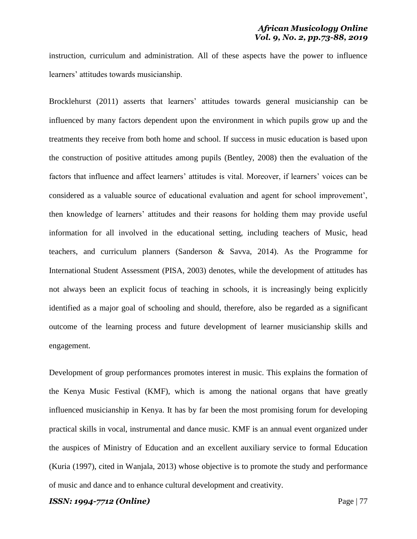instruction, curriculum and administration. All of these aspects have the power to influence learners' attitudes towards musicianship.

Brocklehurst (2011) asserts that learners' attitudes towards general musicianship can be influenced by many factors dependent upon the environment in which pupils grow up and the treatments they receive from both home and school. If success in music education is based upon the construction of positive attitudes among pupils (Bentley, 2008) then the evaluation of the factors that influence and affect learners' attitudes is vital. Moreover, if learners' voices can be considered as a valuable source of educational evaluation and agent for school improvement", then knowledge of learners" attitudes and their reasons for holding them may provide useful information for all involved in the educational setting, including teachers of Music, head teachers, and curriculum planners (Sanderson & Savva, 2014). As the Programme for International Student Assessment (PISA, 2003) denotes, while the development of attitudes has not always been an explicit focus of teaching in schools, it is increasingly being explicitly identified as a major goal of schooling and should, therefore, also be regarded as a significant outcome of the learning process and future development of learner musicianship skills and engagement.

Development of group performances promotes interest in music. This explains the formation of the Kenya Music Festival (KMF), which is among the national organs that have greatly influenced musicianship in Kenya. It has by far been the most promising forum for developing practical skills in vocal, instrumental and dance music. KMF is an annual event organized under the auspices of Ministry of Education and an excellent auxiliary service to formal Education (Kuria (1997), cited in Wanjala, 2013) whose objective is to promote the study and performance of music and dance and to enhance cultural development and creativity.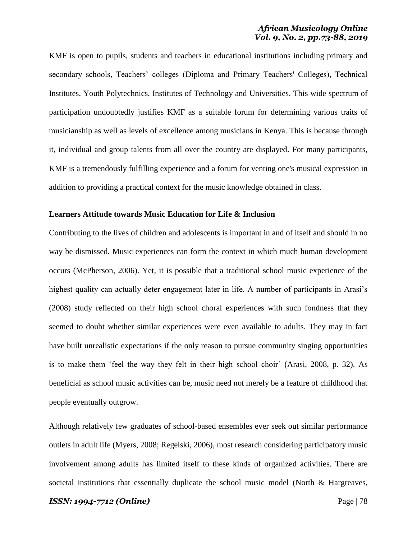### *African Musicology Online Vol. 9, No. 2, pp.73-88, 2019*

KMF is open to pupils, students and teachers in educational institutions including primary and secondary schools, Teachers' colleges (Diploma and Primary Teachers' Colleges), Technical Institutes, Youth Polytechnics, Institutes of Technology and Universities. This wide spectrum of participation undoubtedly justifies KMF as a suitable forum for determining various traits of musicianship as well as levels of excellence among musicians in Kenya. This is because through it, individual and group talents from all over the country are displayed. For many participants, KMF is a tremendously fulfilling experience and a forum for venting one's musical expression in addition to providing a practical context for the music knowledge obtained in class.

### **Learners Attitude towards Music Education for Life & Inclusion**

Contributing to the lives of children and adolescents is important in and of itself and should in no way be dismissed. Music experiences can form the context in which much human development occurs (McPherson, 2006). Yet, it is possible that a traditional school music experience of the highest quality can actually deter engagement later in life. A number of participants in Arasi's (2008) study reflected on their high school choral experiences with such fondness that they seemed to doubt whether similar experiences were even available to adults. They may in fact have built unrealistic expectations if the only reason to pursue community singing opportunities is to make them "feel the way they felt in their high school choir" (Arasi, 2008, p. 32). As beneficial as school music activities can be, music need not merely be a feature of childhood that people eventually outgrow.

Although relatively few graduates of school-based ensembles ever seek out similar performance outlets in adult life (Myers, 2008; Regelski, 2006), most research considering participatory music involvement among adults has limited itself to these kinds of organized activities. There are societal institutions that essentially duplicate the school music model (North & Hargreaves,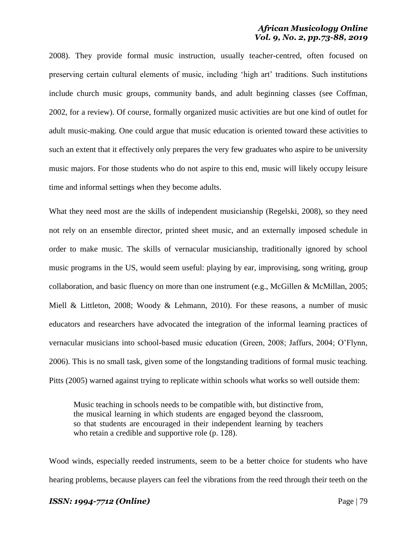### *African Musicology Online Vol. 9, No. 2, pp.73-88, 2019*

2008). They provide formal music instruction, usually teacher-centred, often focused on preserving certain cultural elements of music, including 'high art' traditions. Such institutions include church music groups, community bands, and adult beginning classes (see Coffman, 2002, for a review). Of course, formally organized music activities are but one kind of outlet for adult music-making. One could argue that music education is oriented toward these activities to such an extent that it effectively only prepares the very few graduates who aspire to be university music majors. For those students who do not aspire to this end, music will likely occupy leisure time and informal settings when they become adults.

What they need most are the skills of independent musicianship (Regelski, 2008), so they need not rely on an ensemble director, printed sheet music, and an externally imposed schedule in order to make music. The skills of vernacular musicianship, traditionally ignored by school music programs in the US, would seem useful: playing by ear, improvising, song writing, group collaboration, and basic fluency on more than one instrument (e.g., McGillen & McMillan, 2005; Miell & Littleton, 2008; Woody & Lehmann, 2010). For these reasons, a number of music educators and researchers have advocated the integration of the informal learning practices of vernacular musicians into school-based music education (Green, 2008; Jaffurs, 2004; O"Flynn, 2006). This is no small task, given some of the longstanding traditions of formal music teaching. Pitts (2005) warned against trying to replicate within schools what works so well outside them:

Music teaching in schools needs to be compatible with, but distinctive from, the musical learning in which students are engaged beyond the classroom, so that students are encouraged in their independent learning by teachers who retain a credible and supportive role (p. 128).

Wood winds, especially reeded instruments, seem to be a better choice for students who have hearing problems, because players can feel the vibrations from the reed through their teeth on the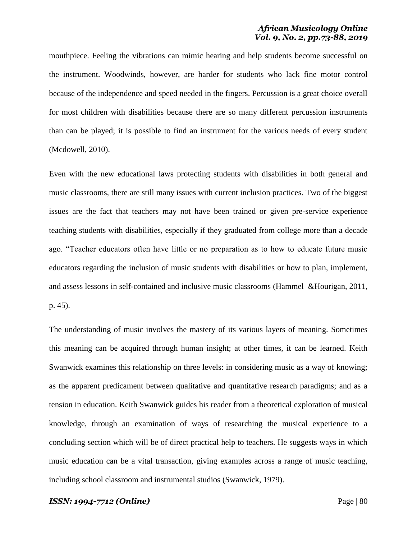mouthpiece. Feeling the vibrations can mimic hearing and help students become successful on the instrument. Woodwinds, however, are harder for students who lack fine motor control because of the independence and speed needed in the fingers. Percussion is a great choice overall for most children with disabilities because there are so many different percussion instruments than can be played; it is possible to find an instrument for the various needs of every student (Mcdowell, 2010).

Even with the new educational laws protecting students with disabilities in both general and music classrooms, there are still many issues with current inclusion practices. Two of the biggest issues are the fact that teachers may not have been trained or given pre-service experience teaching students with disabilities, especially if they graduated from college more than a decade ago. "Teacher educators often have little or no preparation as to how to educate future music educators regarding the inclusion of music students with disabilities or how to plan, implement, and assess lessons in self-contained and inclusive music classrooms (Hammel &Hourigan, 2011, p. 45).

The understanding of music involves the mastery of its various layers of meaning. Sometimes this meaning can be acquired through human insight; at other times, it can be learned. Keith Swanwick examines this relationship on three levels: in considering music as a way of knowing; as the apparent predicament between qualitative and quantitative research paradigms; and as a tension in education. Keith Swanwick guides his reader from a theoretical exploration of musical knowledge, through an examination of ways of researching the musical experience to a concluding section which will be of direct practical help to teachers. He suggests ways in which music education can be a vital transaction, giving examples across a range of music teaching, including school classroom and instrumental studios (Swanwick, 1979).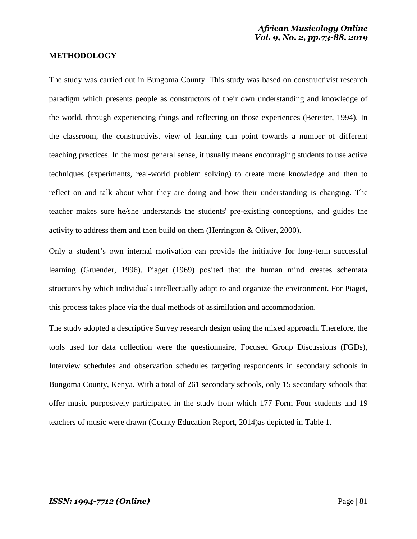### **METHODOLOGY**

The study was carried out in Bungoma County. This study was based on constructivist research paradigm which presents people as constructors of their own understanding and knowledge of the world, through experiencing things and reflecting on those experiences (Bereiter, 1994). In the classroom, the constructivist view of learning can point towards a number of different teaching practices. In the most general sense, it usually means encouraging students to use active techniques (experiments, real-world problem solving) to create more knowledge and then to reflect on and talk about what they are doing and how their understanding is changing. The teacher makes sure he/she understands the students' pre-existing conceptions, and guides the activity to address them and then build on them (Herrington & Oliver, 2000).

Only a student's own internal motivation can provide the initiative for long-term successful learning (Gruender, 1996). Piaget (1969) posited that the human mind creates schemata structures by which individuals intellectually adapt to and organize the environment. For Piaget, this process takes place via the dual methods of assimilation and accommodation.

The study adopted a descriptive Survey research design using the mixed approach. Therefore, the tools used for data collection were the questionnaire, Focused Group Discussions (FGDs), Interview schedules and observation schedules targeting respondents in secondary schools in Bungoma County, Kenya. With a total of 261 secondary schools, only 15 secondary schools that offer music purposively participated in the study from which 177 Form Four students and 19 teachers of music were drawn (County Education Report, 2014)as depicted in Table 1.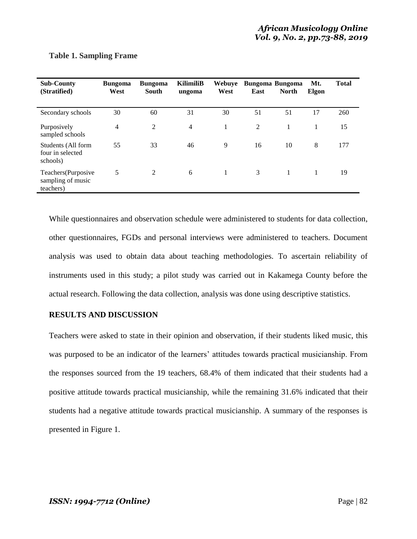| <b>Sub-County</b><br>(Stratified)                    | <b>Bungoma</b><br>West | <b>Bungoma</b><br>South | <b>KilimiliB</b><br>ungoma | <b>Webuve</b><br>West | East | <b>Bungoma Bungoma</b><br><b>North</b> | Mt.<br>Elgon | <b>Total</b> |
|------------------------------------------------------|------------------------|-------------------------|----------------------------|-----------------------|------|----------------------------------------|--------------|--------------|
| Secondary schools                                    | 30                     | 60                      | 31                         | 30                    | 51   | 51                                     | 17           | 260          |
| Purposively<br>sampled schools                       | 4                      | 2                       | $\overline{4}$             | 1                     | 2    | 1                                      | 1            | 15           |
| Students (All form<br>four in selected<br>schools)   | 55                     | 33                      | 46                         | 9                     | 16   | 10                                     | 8            | 177          |
| Teachers(Purposive<br>sampling of music<br>teachers) | 5                      | 2                       | 6                          | $\mathbf{1}$          | 3    | 1                                      | 1            | 19           |

### **Table 1. Sampling Frame**

While questionnaires and observation schedule were administered to students for data collection, other questionnaires, FGDs and personal interviews were administered to teachers. Document analysis was used to obtain data about teaching methodologies. To ascertain reliability of instruments used in this study; a pilot study was carried out in Kakamega County before the actual research. Following the data collection, analysis was done using descriptive statistics.

## **RESULTS AND DISCUSSION**

Teachers were asked to state in their opinion and observation, if their students liked music, this was purposed to be an indicator of the learners' attitudes towards practical musicianship. From the responses sourced from the 19 teachers, 68.4% of them indicated that their students had a positive attitude towards practical musicianship, while the remaining 31.6% indicated that their students had a negative attitude towards practical musicianship. A summary of the responses is presented in Figure 1.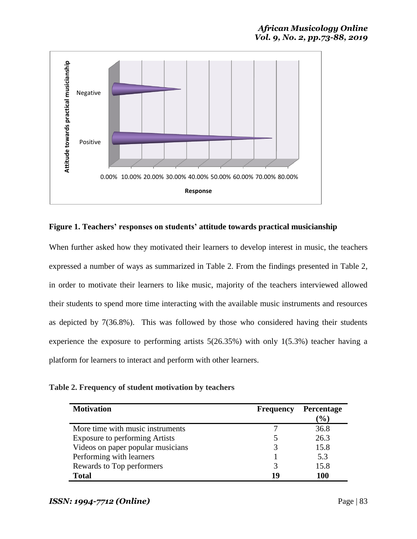

**Figure 1. Teachers' responses on students' attitude towards practical musicianship**

When further asked how they motivated their learners to develop interest in music, the teachers expressed a number of ways as summarized in Table 2. From the findings presented in Table 2, in order to motivate their learners to like music, majority of the teachers interviewed allowed their students to spend more time interacting with the available music instruments and resources as depicted by 7(36.8%). This was followed by those who considered having their students experience the exposure to performing artists 5(26.35%) with only 1(5.3%) teacher having a platform for learners to interact and perform with other learners.

**Table 2. Frequency of student motivation by teachers** 

| <b>Motivation</b>                     | <b>Frequency</b> | Percentage<br>$\mathcal{O}(6)$ |
|---------------------------------------|------------------|--------------------------------|
| More time with music instruments      |                  | 36.8                           |
| <b>Exposure to performing Artists</b> |                  | 26.3                           |
| Videos on paper popular musicians     |                  | 15.8                           |
| Performing with learners              |                  | 5.3                            |
| Rewards to Top performers             |                  | 15.8                           |
| <b>Total</b>                          | 1 U              | 100                            |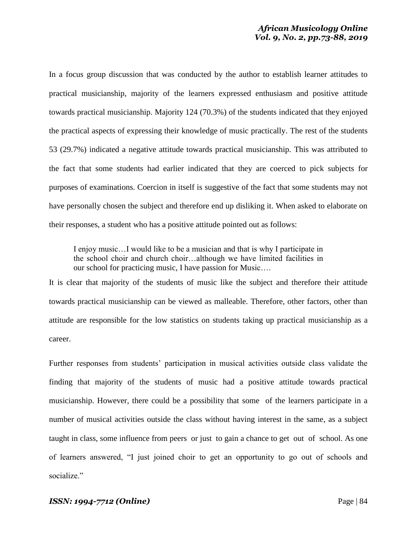In a focus group discussion that was conducted by the author to establish learner attitudes to practical musicianship, majority of the learners expressed enthusiasm and positive attitude towards practical musicianship. Majority 124 (70.3%) of the students indicated that they enjoyed the practical aspects of expressing their knowledge of music practically. The rest of the students 53 (29.7%) indicated a negative attitude towards practical musicianship. This was attributed to the fact that some students had earlier indicated that they are coerced to pick subjects for purposes of examinations. Coercion in itself is suggestive of the fact that some students may not have personally chosen the subject and therefore end up disliking it. When asked to elaborate on their responses, a student who has a positive attitude pointed out as follows:

I enjoy music…I would like to be a musician and that is why I participate in the school choir and church choir…although we have limited facilities in our school for practicing music, I have passion for Music….

It is clear that majority of the students of music like the subject and therefore their attitude towards practical musicianship can be viewed as malleable. Therefore, other factors, other than attitude are responsible for the low statistics on students taking up practical musicianship as a career.

Further responses from students" participation in musical activities outside class validate the finding that majority of the students of music had a positive attitude towards practical musicianship. However, there could be a possibility that some of the learners participate in a number of musical activities outside the class without having interest in the same, as a subject taught in class, some influence from peers or just to gain a chance to get out of school. As one of learners answered, "I just joined choir to get an opportunity to go out of schools and socialize."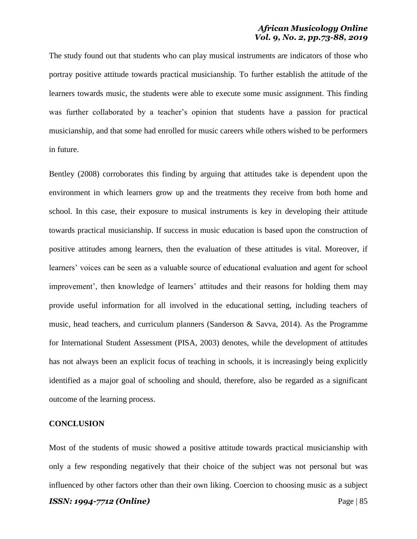## *African Musicology Online Vol. 9, No. 2, pp.73-88, 2019*

The study found out that students who can play musical instruments are indicators of those who portray positive attitude towards practical musicianship. To further establish the attitude of the learners towards music, the students were able to execute some music assignment. This finding was further collaborated by a teacher's opinion that students have a passion for practical musicianship, and that some had enrolled for music careers while others wished to be performers in future.

Bentley (2008) corroborates this finding by arguing that attitudes take is dependent upon the environment in which learners grow up and the treatments they receive from both home and school. In this case, their exposure to musical instruments is key in developing their attitude towards practical musicianship. If success in music education is based upon the construction of positive attitudes among learners, then the evaluation of these attitudes is vital. Moreover, if learners" voices can be seen as a valuable source of educational evaluation and agent for school improvement', then knowledge of learners' attitudes and their reasons for holding them may provide useful information for all involved in the educational setting, including teachers of music, head teachers, and curriculum planners (Sanderson & Savva, 2014). As the Programme for International Student Assessment (PISA, 2003) denotes, while the development of attitudes has not always been an explicit focus of teaching in schools, it is increasingly being explicitly identified as a major goal of schooling and should, therefore, also be regarded as a significant outcome of the learning process.

#### **CONCLUSION**

Most of the students of music showed a positive attitude towards practical musicianship with only a few responding negatively that their choice of the subject was not personal but was influenced by other factors other than their own liking. Coercion to choosing music as a subject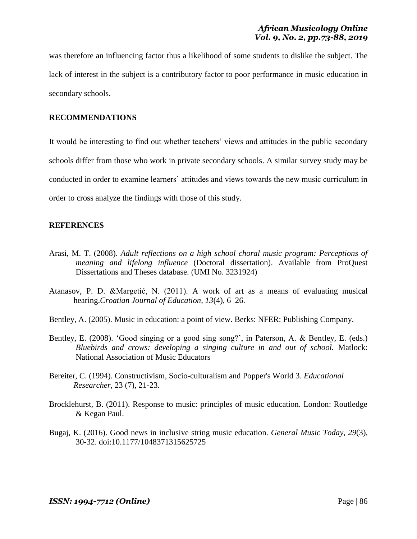was therefore an influencing factor thus a likelihood of some students to dislike the subject. The lack of interest in the subject is a contributory factor to poor performance in music education in secondary schools.

### **RECOMMENDATIONS**

It would be interesting to find out whether teachers' views and attitudes in the public secondary schools differ from those who work in private secondary schools. A similar survey study may be conducted in order to examine learners" attitudes and views towards the new music curriculum in order to cross analyze the findings with those of this study.

### **REFERENCES**

- Arasi, M. T. (2008). *Adult reflections on a high school choral music program: Perceptions of meaning and lifelong influence* (Doctoral dissertation). Available from ProQuest Dissertations and Theses database. (UMI No. 3231924)
- Atanasov, P. D. &Margetić, N. (2011). A work of art as a means of evaluating musical hearing.*Croatian Journal of Education, 13*(4), 6–26.
- Bentley, A. (2005). Music in education: a point of view. Berks: NFER: Publishing Company.
- Bentley, E. (2008). 'Good singing or a good sing song?', in Paterson, A. & Bentley, E. (eds.) *Bluebirds and crows: developing a singing culture in and out of school.* Matlock: National Association of Music Educators
- Bereiter, C. (1994). Constructivism, Socio-culturalism and Popper's World 3. *Educational Researcher*, 23 (7), 21-23.
- Brocklehurst, B. (2011). Response to music: principles of music education. London: Routledge & Kegan Paul.
- Bugaj, K. (2016). Good news in inclusive string music education. *General Music Today*, *29*(3), 30-32. doi:10.1177/1048371315625725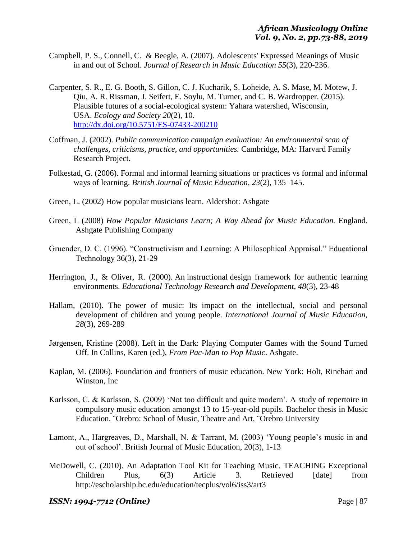- Campbell, P. S., Connell, C. & Beegle, A. (2007). Adolescents' Expressed Meanings of Music in and out of School. *Journal of Research in Music Education 55*(3), 220-236.
- Carpenter, S. R., E. G. Booth, S. Gillon, C. J. Kucharik, S. Loheide, A. S. Mase, M. Motew, J. Qiu, A. R. Rissman, J. Seifert, E. Soylu, M. Turner, and C. B. Wardropper. (2015). Plausible futures of a social-ecological system: Yahara watershed, Wisconsin, USA. *Ecology and Society 20*(2), 10. <http://dx.doi.org/10.5751/ES-07433-200210>
- Coffman, J. (2002). *Public communication campaign evaluation: An environmental scan of challenges, criticisms, practice, and opportunities.* Cambridge, MA: Harvard Family Research Project.
- Folkestad, G. (2006). Formal and informal learning situations or practices vs formal and informal ways of learning. *British Journal of Music Education, 23*(2), 135–145.
- Green, L. (2002) How popular musicians learn. Aldershot: Ashgate
- Green, L (2008) *How Popular Musicians Learn; A Way Ahead for Music Education.* England. Ashgate Publishing Company
- Gruender, D. C. (1996). "Constructivism and Learning: A Philosophical Appraisal." Educational Technology 36(3), 21-29
- Herrington, J., & Oliver, R. (2000). An instructional design framework for authentic learning [environments.](http://researchrepository.murdoch.edu.au/5251/) *Educational Technology Research and Development, 48*(3), 23-48
- Hallam, (2010). The power of music: Its impact on the intellectual, social and personal development of children and young people. *International Journal of Music Education, 28*(3), 269-289
- Jørgensen, Kristine (2008). Left in the Dark: Playing Computer Games with the Sound Turned Off. In Collins, Karen (ed.), *From Pac-Man to Pop Music*. Ashgate.
- Kaplan, M. (2006). Foundation and frontiers of music education. New York: Holt, Rinehart and Winston, Inc
- Karlsson, C. & Karlsson, S. (2009) "Not too difficult and quite modern". A study of repertoire in compulsory music education amongst 13 to 15-year-old pupils. Bachelor thesis in Music Education. ¨Orebro: School of Music, Theatre and Art, ¨Orebro University
- Lamont, A., Hargreaves, D., Marshall, N. & Tarrant, M. (2003) "Young people"s music in and out of school". British Journal of Music Education, 20(3), 1-13
- McDowell, C. (2010). An Adaptation Tool Kit for Teaching Music. TEACHING Exceptional Children Plus, 6(3) Article 3. Retrieved [date] from http://escholarship.bc.edu/education/tecplus/vol6/iss3/art3